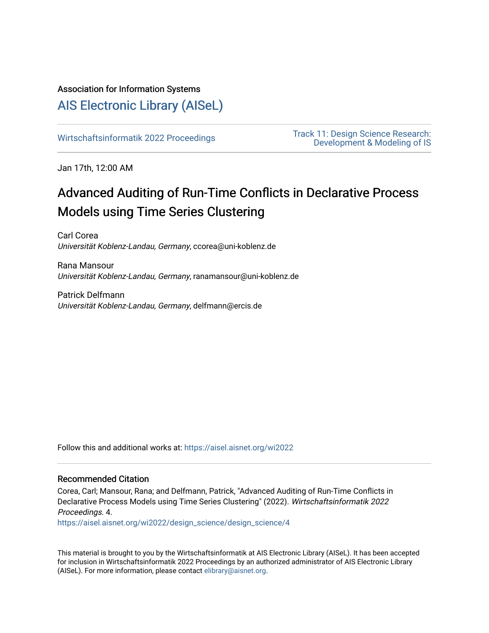# Association for Information Systems

# [AIS Electronic Library \(AISeL\)](https://aisel.aisnet.org/)

Wirtschaftsinformatik 2022 Proceedings<br>
Novelament & Madeling of IS [Development & Modeling of IS](https://aisel.aisnet.org/wi2022/design_science) 

Jan 17th, 12:00 AM

# Advanced Auditing of Run-Time Conflicts in Declarative Process Models using Time Series Clustering

Carl Corea Universität Koblenz-Landau, Germany, ccorea@uni-koblenz.de

Rana Mansour Universität Koblenz-Landau, Germany, ranamansour@uni-koblenz.de

Patrick Delfmann Universität Koblenz-Landau, Germany, delfmann@ercis.de

Follow this and additional works at: [https://aisel.aisnet.org/wi2022](https://aisel.aisnet.org/wi2022?utm_source=aisel.aisnet.org%2Fwi2022%2Fdesign_science%2Fdesign_science%2F4&utm_medium=PDF&utm_campaign=PDFCoverPages) 

# Recommended Citation

Corea, Carl; Mansour, Rana; and Delfmann, Patrick, "Advanced Auditing of Run-Time Conflicts in Declarative Process Models using Time Series Clustering" (2022). Wirtschaftsinformatik 2022 Proceedings. 4.

[https://aisel.aisnet.org/wi2022/design\\_science/design\\_science/4](https://aisel.aisnet.org/wi2022/design_science/design_science/4?utm_source=aisel.aisnet.org%2Fwi2022%2Fdesign_science%2Fdesign_science%2F4&utm_medium=PDF&utm_campaign=PDFCoverPages)

This material is brought to you by the Wirtschaftsinformatik at AIS Electronic Library (AISeL). It has been accepted for inclusion in Wirtschaftsinformatik 2022 Proceedings by an authorized administrator of AIS Electronic Library (AISeL). For more information, please contact [elibrary@aisnet.org](mailto:elibrary@aisnet.org%3E).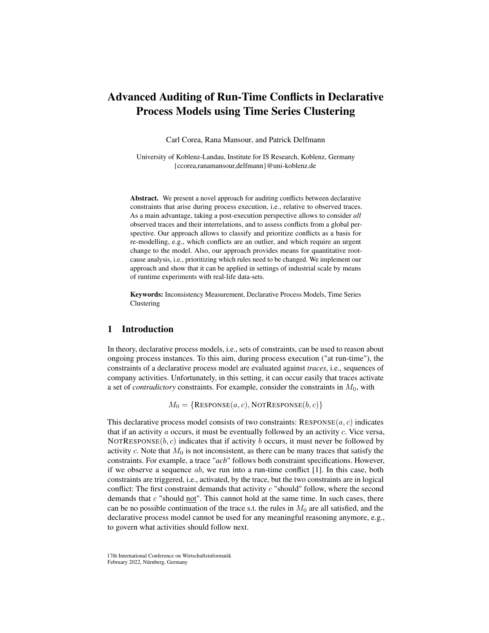# Advanced Auditing of Run-Time Conflicts in Declarative Process Models using Time Series Clustering

Carl Corea, Rana Mansour, and Patrick Delfmann

University of Koblenz-Landau, Institute for IS Research, Koblenz, Germany {ccorea,ranamansour,delfmann}@uni-koblenz.de

Abstract. We present a novel approach for auditing conflicts between declarative constraints that arise during process execution, i.e., relative to observed traces. As a main advantage, taking a post-execution perspective allows to consider *all* observed traces and their interrelations, and to assess conflicts from a global perspective. Our approach allows to classify and prioritize conflicts as a basis for re-modelling, e.g., which conflicts are an outlier, and which require an urgent change to the model. Also, our approach provides means for quantitative rootcause analysis, i.e., prioritizing which rules need to be changed. We implement our approach and show that it can be applied in settings of industrial scale by means of runtime experiments with real-life data-sets.

Keywords: Inconsistency Measurement, Declarative Process Models, Time Series Clustering

# <span id="page-1-0"></span>1 Introduction

In theory, declarative process models, i.e., sets of constraints, can be used to reason about ongoing process instances. To this aim, during process execution ("at run-time"), the constraints of a declarative process model are evaluated against *traces*, i.e., sequences of company activities. Unfortunately, in this setting, it can occur easily that traces activate a set of *contradictory* constraints. For example, consider the constraints in  $M_0$ , with

 $M_0 = \{$ RESPONSE $(a, c)$ , NOTRESPONSE $(b, c)$ }

This declarative process model consists of two constraints:  $\text{RESPONSE}(a, c)$  indicates that if an activity  $a$  occurs, it must be eventually followed by an activity  $c$ . Vice versa, NOTRESPONSE $(b, c)$  indicates that if activity b occurs, it must never be followed by activity c. Note that  $M_0$  is not inconsistent, as there can be many traces that satisfy the constraints. For example, a trace "*acb*" follows both constraint specifications. However, if we observe a sequence  $ab$ , we run into a run-time conflict [\[1\]](#page-13-0). In this case, both constraints are triggered, i.e., activated, by the trace, but the two constraints are in logical conflict: The first constraint demands that activity  $c$  "should" follow, where the second demands that  $c$  "should not". This cannot hold at the same time. In such cases, there can be no possible continuation of the trace s.t. the rules in  $M_0$  are all satisfied, and the declarative process model cannot be used for any meaningful reasoning anymore, e.g., to govern what activities should follow next.

17th International Conference on Wirtschaftsinformatik February 2022, Nürnberg, Germany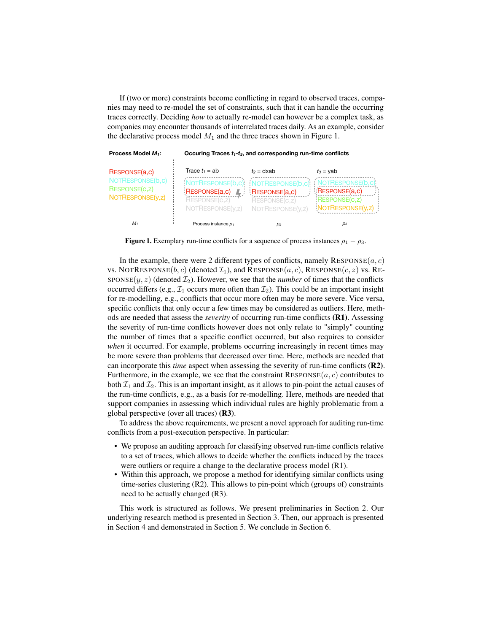If (two or more) constraints become conflicting in regard to observed traces, companies may need to re-model the set of constraints, such that it can handle the occurring traces correctly. Deciding *how* to actually re-model can however be a complex task, as companies may encounter thousands of interrelated traces daily. As an example, consider the declarative process model  $M_1$  and the three traces shown in Figure [1.](#page-2-0)

<span id="page-2-0"></span>

Figure 1. Exemplary run-time conflicts for a sequence of process instances  $\rho_1 - \rho_3$ .

In the example, there were 2 different types of conflicts, namely  $\text{Response}(a, c)$ vs. NOTRESPONSE $(b, c)$  (denoted  $\mathcal{I}_1$ ), and RESPONSE $(a, c)$ , RESPONSE $(c, z)$  vs. RE- $SPONSE(y, z)$  (denoted  $\mathcal{I}_2$ ). However, we see that the *number* of times that the conflicts occurred differs (e.g.,  $\mathcal{I}_1$  occurs more often than  $\mathcal{I}_2$ ). This could be an important insight for re-modelling, e.g., conflicts that occur more often may be more severe. Vice versa, specific conflicts that only occur a few times may be considered as outliers. Here, methods are needed that assess the *severity* of occurring run-time conflicts (R1). Assessing the severity of run-time conflicts however does not only relate to "simply" counting the number of times that a specific conflict occurred, but also requires to consider *when* it occurred. For example, problems occurring increasingly in recent times may be more severe than problems that decreased over time. Here, methods are needed that can incorporate this *time* aspect when assessing the severity of run-time conflicts (R2). Furthermore, in the example, we see that the constraint  $\text{RESPONSE}(a, c)$  contributes to both  $\mathcal{I}_1$  and  $\mathcal{I}_2$ . This is an important insight, as it allows to pin-point the actual causes of the run-time conflicts, e.g., as a basis for re-modelling. Here, methods are needed that support companies in assessing which individual rules are highly problematic from a global perspective (over all traces) (R3).

To address the above requirements, we present a novel approach for auditing run-time conflicts from a post-execution perspective. In particular:

- We propose an auditing approach for classifying observed run-time conflicts relative to a set of traces, which allows to decide whether the conflicts induced by the traces were outliers or require a change to the declarative process model (R1).
- Within this approach, we propose a method for identifying similar conflicts using time-series clustering (R2). This allows to pin-point which (groups of) constraints need to be actually changed (R3).

This work is structured as follows. We present preliminaries in Section [2.](#page-3-0) Our underlying research method is presented in Section [3.](#page-6-0) Then, our approach is presented in Section [4](#page-7-0) and demonstrated in Section [5.](#page-12-0) We conclude in Section [6.](#page-12-1)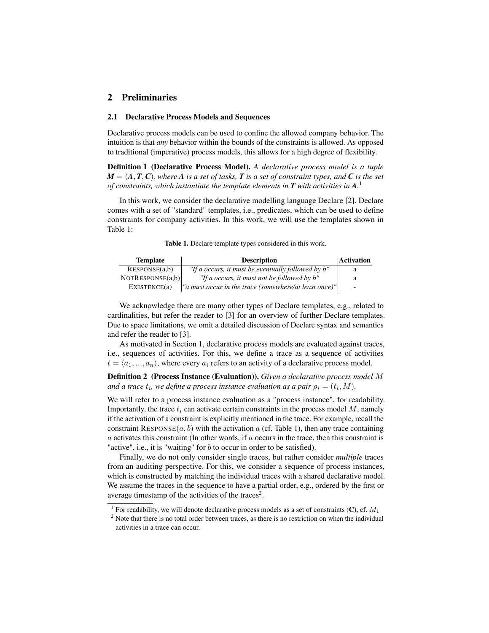# <span id="page-3-0"></span>2 Preliminaries

#### 2.1 Declarative Process Models and Sequences

Declarative process models can be used to confine the allowed company behavior. The intuition is that *any* behavior within the bounds of the constraints is allowed. As opposed to traditional (imperative) process models, this allows for a high degree of flexibility.

Definition 1 (Declarative Process Model). *A declarative process model is a tuple*  $M = (A, T, C)$ , where A is a set of tasks, T is a set of constraint types, and C is the set *of constraints, which instantiate the template elements in T with activities in A.* [1](#page-3-1)

In this work, we consider the declarative modelling language Declare [\[2\]](#page-13-1). Declare comes with a set of "standard" templates, i.e., predicates, which can be used to define constraints for company activities. In this work, we will use the templates shown in Table [1:](#page-3-2)

| Table 1. Declare template types considered in this work. |  |
|----------------------------------------------------------|--|
|----------------------------------------------------------|--|

<span id="page-3-2"></span>

| <b>Template</b>  | <b>Description</b>                                    | <b>Activation</b>        |
|------------------|-------------------------------------------------------|--------------------------|
| RESPONSE(a,b)    | "If a occurs, it must be eventually followed by $b$ " | a                        |
| NOTRESPONSE(a,b) | "If a occurs, it must not be followed by $b$ "        | a                        |
| EXISTENCE(a)     | "a must occur in the trace (somewhere/at least once)" | $\overline{\phantom{0}}$ |

We acknowledge there are many other types of Declare templates, e.g., related to cardinalities, but refer the reader to [\[3\]](#page-13-2) for an overview of further Declare templates. Due to space limitations, we omit a detailed discussion of Declare syntax and semantics and refer the reader to [\[3\]](#page-13-2).

As motivated in Section [1,](#page-1-0) declarative process models are evaluated against traces, i.e., sequences of activities. For this, we define a trace as a sequence of activities  $t = \langle a_1, ..., a_n \rangle$ , where every  $a_i$  refers to an activity of a declarative process model.

Definition 2 (Process Instance (Evaluation)). *Given a declarative process model* M and a trace  $t_i$ , we define a process instance evaluation as a pair  $\rho_i = (t_i,M)$ .

We will refer to a process instance evaluation as a "process instance", for readability. Importantly, the trace  $t_i$  can activate certain constraints in the process model  $M$ , namely if the activation of a constraint is explicitly mentioned in the trace. For example, recall the constraint  $RESPONSE(a, b)$  with the activation a (cf. Table [1\)](#page-3-2), then any trace containing a activates this constraint (In other words, if a occurs in the trace, then this constraint is "active", i.e., it is "waiting" for b to occur in order to be satisfied).

Finally, we do not only consider single traces, but rather consider *multiple* traces from an auditing perspective. For this, we consider a sequence of process instances, which is constructed by matching the individual traces with a shared declarative model. We assume the traces in the sequence to have a partial order, e.g., ordered by the first or average timestamp of the activities of the traces<sup>[2](#page-3-3)</sup>.

<span id="page-3-1"></span><sup>&</sup>lt;sup>1</sup> For readability, we will denote declarative process models as a set of constraints (C), cf.  $M_1$ 

<span id="page-3-3"></span> $2$  Note that there is no total order between traces, as there is no restriction on when the individual activities in a trace can occur.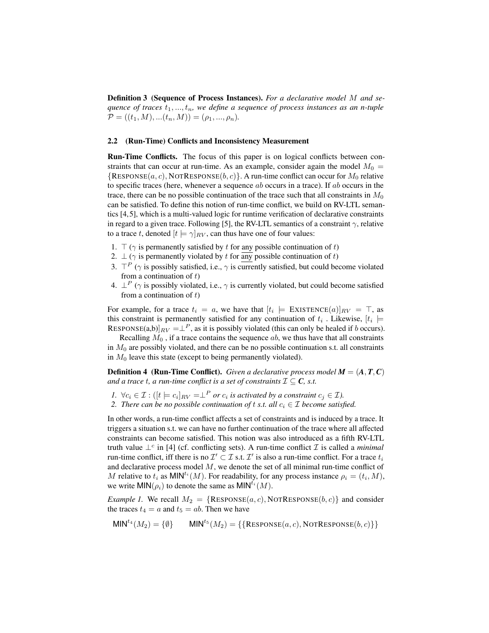Definition 3 (Sequence of Process Instances). *For a declarative model* M *and sequence of traces*  $t_1, ..., t_n$ , we define a sequence of process instances as an n-tuple  $\mathcal{P} = ((t_1, M), ... (t_n, M)) = (\rho_1, ..., \rho_n).$ 

#### 2.2 (Run-Time) Conflicts and Inconsistency Measurement

Run-Time Conflicts. The focus of this paper is on logical conflicts between constraints that can occur at run-time. As an example, consider again the model  $M_0 =$  ${RESPONSE(a, c), NOTRESPONSE(b, c)}$ . A run-time conflict can occur for  $M_0$  relative to specific traces (here, whenever a sequence  $ab$  occurs in a trace). If  $ab$  occurs in the trace, there can be no possible continuation of the trace such that all constraints in  $M_0$ can be satisfied. To define this notion of run-time conflict, we build on RV-LTL semantics [\[4,](#page-13-3)[5\]](#page-13-4), which is a multi-valued logic for runtime verification of declarative constraints in regard to a given trace. Following [\[5\]](#page-13-4), the RV-LTL semantics of a constraint  $\gamma$ , relative to a trace t, denoted  $[t = \gamma]_{RV}$ , can thus have one of four values:

- 1.  $\top$  ( $\gamma$  is permanently satisfied by t for any possible continuation of t)
- 2.  $\perp (\gamma$  is permanently violated by t for any possible continuation of t)
- 3.  $\top^P$  ( $\gamma$  is possibly satisfied, i.e.,  $\gamma$  is currently satisfied, but could become violated from a continuation of  $t$ )
- 4.  $\perp^P$  ( $\gamma$  is possibly violated, i.e.,  $\gamma$  is currently violated, but could become satisfied from a continuation of  $t$ )

For example, for a trace  $t_i = a$ , we have that  $[t_i \models \text{EXISTENCE}(a)]_{RV} = \top$ , as this constraint is permanently satisfied for any continuation of  $t_i$ . Likewise,  $[t_i \models$ RESPONSE(a,b)] $_{RV} = \perp^P$ , as it is possibly violated (this can only be healed if b occurs).

Recalling  $M_0$ , if a trace contains the sequence  $ab$ , we thus have that all constraints in  $M_0$  are possibly violated, and there can be no possible continuation s.t. all constraints in  $M_0$  leave this state (except to being permanently violated).

**Definition 4** (Run-Time Conflict). *Given a declarative process model*  $M = (A, T, C)$ *and a trace t, a run-time conflict is a set of constraints*  $\mathcal{I} \subseteq \mathcal{C}$ *, s.t.* 

- *1.*  $\forall c_i \in \mathcal{I} : ([t \models c_i]_{RV} = \perp^P \text{ or } c_i \text{ is activated by a constraint } c_j \in \mathcal{I}$ .
- *2. There can be no possible continuation of t s.t. all*  $c_i \in \mathcal{I}$  *become satisfied.*

In other words, a run-time conflict affects a set of constraints and is induced by a trace. It triggers a situation s.t. we can have no further continuation of the trace where all affected constraints can become satisfied. This notion was also introduced as a fifth RV-LTL truth value  $\perp^c$  in [\[4\]](#page-13-3) (cf. conflicting sets). A run-time conflict  $\mathcal I$  is called a *minimal* run-time conflict, iff there is no  $\mathcal{I}' \subset \mathcal{I}$  s.t.  $\mathcal{I}'$  is also a run-time conflict. For a trace  $t_i$ and declarative process model M, we denote the set of all minimal run-time conflict of M relative to  $t_i$  as MIN<sup>t<sub>i</sub></sup>(M). For readability, for any process instance  $\rho_i = (t_i, M)$ , we write  $\text{MIN}(\rho_i)$  to denote the same as  $\text{MIN}^{t_i}(M)$ .

*Example 1.* We recall  $M_2 = \{$ **RESPONSE** $(a, c)$ , NOTRESPONSE $(b, c)$ } and consider the traces  $t_4 = a$  and  $t_5 = ab$ . Then we have

$$
\text{MIN}^{t_4}(M_2) = \{ \emptyset \} \qquad \text{MIN}^{t_5}(M_2) = \{ \{ \text{Response}(a, c), \text{NOTResponse}(b, c) \} \}
$$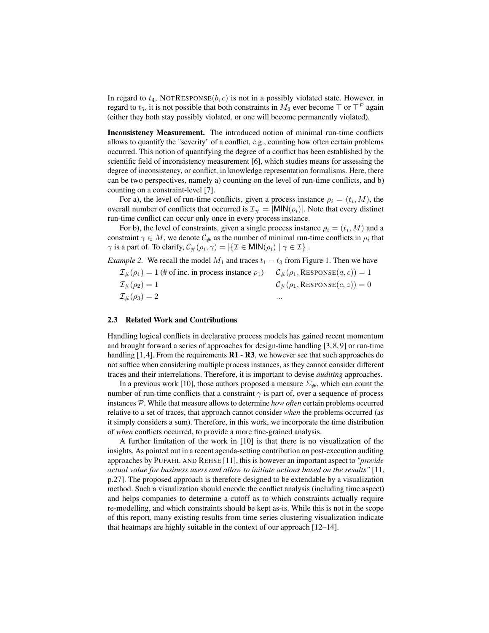In regard to  $t_4$ , NOTRESPONSE( $b, c$ ) is not in a possibly violated state. However, in regard to  $t_5$ , it is not possible that both constraints in  $M_2$  ever become  $\top$  or  $\top^P$  again (either they both stay possibly violated, or one will become permanently violated).

Inconsistency Measurement. The introduced notion of minimal run-time conflicts allows to quantify the "severity" of a conflict, e.g., counting how often certain problems occurred. This notion of quantifying the degree of a conflict has been established by the scientific field of inconsistency measurement [\[6\]](#page-13-5), which studies means for assessing the degree of inconsistency, or conflict, in knowledge representation formalisms. Here, there can be two perspectives, namely a) counting on the level of run-time conflicts, and b) counting on a constraint-level [\[7\]](#page-13-6).

For a), the level of run-time conflicts, given a process instance  $\rho_i = (t_i, M)$ , the overall number of conflicts that occurred is  $\mathcal{I}_{\#} = |MIN(\rho_i)|$ . Note that every distinct run-time conflict can occur only once in every process instance.

For b), the level of constraints, given a single process instance  $\rho_i = (t_i, M)$  and a constraint  $\gamma \in M$ , we denote  $\mathcal{C}_{\#}$  as the number of minimal run-time conflicts in  $\rho_i$  that  $\gamma$  is a part of. To clarify,  $\mathcal{C}_{\#}(\rho_i, \gamma) = |\{\mathcal{I} \in \mathsf{MIN}(\rho_i) \mid \gamma \in \mathcal{I}\}|.$ 

<span id="page-5-0"></span>*Example 2.* We recall the model  $M_1$  and traces  $t_1 - t_3$  from Figure [1.](#page-2-0) Then we have

| $\mathcal{I}_{\#}(\rho_1) = 1$ (# of inc. in process instance $\rho_1$ ) | $\mathcal{C}_{\#}(\rho_1, \text{RESPONSE}(a, c)) = 1$ |
|--------------------------------------------------------------------------|-------------------------------------------------------|
| $\mathcal{I}_{\#}(\rho_2) = 1$                                           | $\mathcal{C}_{\#}(\rho_1, \text{RESPONSE}(c, z)) = 0$ |
| $\mathcal{I}_{\#}(\rho_3) = 2$                                           | $\cdots$                                              |

#### 2.3 Related Work and Contributions

Handling logical conflicts in declarative process models has gained recent momentum and brought forward a series of approaches for design-time handling [\[3,](#page-13-2) [8,](#page-13-7) [9\]](#page-13-8) or run-time handling [\[1,](#page-13-0)4]. From the requirements  $R1 - R3$ , we however see that such approaches do not suffice when considering multiple process instances, as they cannot consider different traces and their interrelations. Therefore, it is important to devise *auditing* approaches.

In a previous work [\[10\]](#page-13-9), those authors proposed a measure  $\Sigma_{\#}$ , which can count the number of run-time conflicts that a constraint  $\gamma$  is part of, over a sequence of process instances P. While that measure allows to determine *how often* certain problems occurred relative to a set of traces, that approach cannot consider *when* the problems occurred (as it simply considers a sum). Therefore, in this work, we incorporate the time distribution of *when* conflicts occurred, to provide a more fine-grained analysis.

A further limitation of the work in [\[10\]](#page-13-9) is that there is no visualization of the insights. As pointed out in a recent agenda-setting contribution on post-execution auditing approaches by PUFAHL AND REHSE [\[11\]](#page-13-10), this is however an important aspect to *"provide actual value for business users and allow to initiate actions based on the results"* [\[11,](#page-13-10) p.27]. The proposed approach is therefore designed to be extendable by a visualization method. Such a visualization should encode the conflict analysis (including time aspect) and helps companies to determine a cutoff as to which constraints actually require re-modelling, and which constraints should be kept as-is. While this is not in the scope of this report, many existing results from time series clustering visualization indicate that heatmaps are highly suitable in the context of our approach [\[12–](#page-13-11)[14\]](#page-13-12).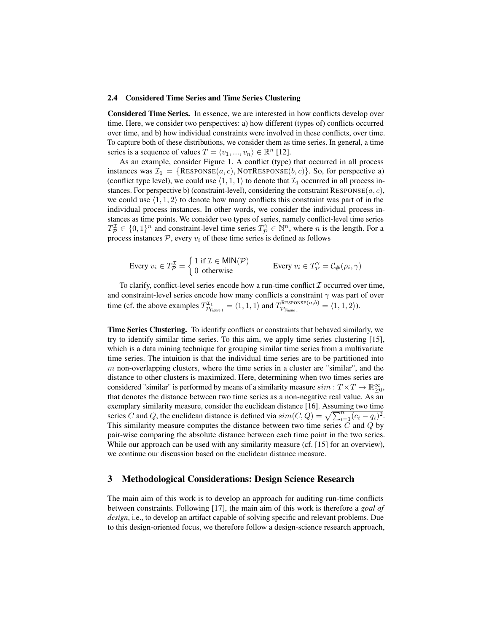#### <span id="page-6-1"></span>2.4 Considered Time Series and Time Series Clustering

Considered Time Series. In essence, we are interested in how conflicts develop over time. Here, we consider two perspectives: a) how different (types of) conflicts occurred over time, and b) how individual constraints were involved in these conflicts, over time. To capture both of these distributions, we consider them as time series. In general, a time series is a sequence of values  $T = \langle v_1, ..., v_n \rangle \in \mathbb{R}^n$  [\[12\]](#page-13-11).

As an example, consider Figure [1.](#page-2-0) A conflict (type) that occurred in all process instances was  $\mathcal{I}_1 = \{$ RESPONSE $(a, c)$ , NOTRESPONSE $(b, c)$ }. So, for perspective a) (conflict type level), we could use  $\langle 1, 1, 1 \rangle$  to denote that  $\mathcal{I}_1$  occurred in all process instances. For perspective b) (constraint-level), considering the constraint  $\text{RESPONSE}(a, c)$ , we could use  $\langle 1, 1, 2 \rangle$  to denote how many conflicts this constraint was part of in the individual process instances. In other words, we consider the individual process instances as time points. We consider two types of series, namely conflict-level time series  $T_{\mathcal{P}}^{\mathcal{I}} \in \{0,1\}^n$  and constraint-level time series  $T_{\mathcal{P}}^{\gamma} \in \mathbb{N}^n$ , where *n* is the length. For a process instances  $P$ , every  $v_i$  of these time series is defined as follows

Every 
$$
v_i \in T_{\mathcal{P}}^{\mathcal{I}} = \begin{cases} 1 & \text{if } \mathcal{I} \in \mathsf{MIN}(\mathcal{P}) \\ 0 & \text{otherwise} \end{cases}
$$
 Every  $v_i \in T_{\mathcal{P}}^{\gamma} = C_{\#}(\rho_i, \gamma)$ 

To clarify, conflict-level series encode how a run-time conflict  $\mathcal I$  occurred over time, and constraint-level series encode how many conflicts a constraint  $\gamma$  was part of over time (cf. the above examples  $T_{\mathcal{P}_{\text{Figure 1}}}^{\mathcal{I}_{1}} = \langle 1, 1, 1 \rangle$  and  $T_{\mathcal{P}_{\text{Figure 1}}}^{\text{Response}(a,b)}$  $\mathcal{P}_{\text{Figure 1}}^{K\text{ESPONSE}(a, b)} = \langle 1, 1, 2 \rangle.$ 

Time Series Clustering. To identify conflicts or constraints that behaved similarly, we try to identify similar time series. To this aim, we apply time series clustering [\[15\]](#page-13-13), which is a data mining technique for grouping similar time series from a multivariate time series. The intuition is that the individual time series are to be partitioned into  $m$  non-overlapping clusters, where the time series in a cluster are "similar", and the distance to other clusters is maximized. Here, determining when two times series are considered "similar" is performed by means of a similarity measure  $\sin: T \times T \to \mathbb{R}_{\geq 0}^{\infty}$ , that denotes the distance between two time series as a non-negative real value. As an exemplary similarity measure, consider the euclidean distance [\[16\]](#page-13-14). Assuming two time series C and Q, the euclidean distance is defined via  $sim(C, Q) = \sqrt{\sum_{i=1}^{n} (c_i - q_i)^2}$ . This similarity measure computes the distance between two time series  $C$  and  $Q$  by pair-wise comparing the absolute distance between each time point in the two series. While our approach can be used with any similarity measure (cf. [\[15\]](#page-13-13) for an overview), we continue our discussion based on the euclidean distance measure.

# <span id="page-6-0"></span>3 Methodological Considerations: Design Science Research

The main aim of this work is to develop an approach for auditing run-time conflicts between constraints. Following [\[17\]](#page-13-15), the main aim of this work is therefore a *goal of design*, i.e., to develop an artifact capable of solving specific and relevant problems. Due to this design-oriented focus, we therefore follow a design-science research approach,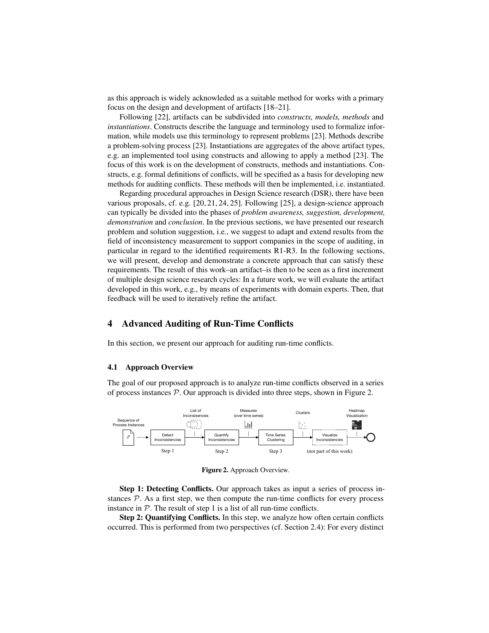as this approach is widely acknowleded as a suitable method for works with a primary focus on the design and development of artifacts [\[18](#page-13-16)[–21\]](#page-14-0).

Following [\[22\]](#page-14-1), artifacts can be subdivided into *constructs, models, methods* and *instantiations*. Constructs describe the language and terminology used to formalize information, while models use this terminology to represent problems [\[23\]](#page-14-2). Methods describe a problem-solving process [\[23\]](#page-14-2). Instantiations are aggregates of the above artifact types, e.g. an implemented tool using constructs and allowing to apply a method [\[23\]](#page-14-2). The focus of this work is on the development of constructs, methods and instantiations. Constructs, e.g. formal definitions of conflicts, will be specified as a basis for developing new methods for auditing conflicts. These methods will then be implemented, i.e. instantiated.

Regarding procedural approaches in Design Science research (DSR), there have been various proposals, cf. e.g. [\[20,](#page-14-3) [21,](#page-14-0) [24,](#page-14-4) [25\]](#page-14-5). Following [\[25\]](#page-14-5), a design-science approach can typically be divided into the phases of *problem awareness, suggestion, development, demonstration* and *conclusion*. In the previous sections, we have presented our research problem and solution suggestion, i.e., we suggest to adapt and extend results from the field of inconsistency measurement to support companies in the scope of auditing, in particular in regard to the identified requirements R1-R3. In the following sections, we will present, develop and demonstrate a concrete approach that can satisfy these requirements. The result of this work–an artifact–is then to be seen as a first increment of multiple design science research cycles: In a future work, we will evaluate the artifact developed in this work, e.g., by means of experiments with domain experts. Then, that feedback will be used to iteratively refine the artifact.

# <span id="page-7-0"></span>4 Advanced Auditing of Run-Time Conflicts

In this section, we present our approach for auditing run-time conflicts.

#### 4.1 Approach Overview

The goal of our proposed approach is to analyze run-time conflicts observed in a series of process instances  $P$ . Our approach is divided into three steps, shown in Figure [2.](#page-7-1)

<span id="page-7-1"></span>

Figure 2. Approach Overview.

Step 1: Detecting Conflicts. Our approach takes as input a series of process instances  $P$ . As a first step, we then compute the run-time conflicts for every process instance in  $P$ . The result of step 1 is a list of all run-time conflicts.

Step 2: Quantifying Conflicts. In this step, we analyze how often certain conflicts occurred. This is performed from two perspectives (cf. Section [2.4\)](#page-6-1): For every distinct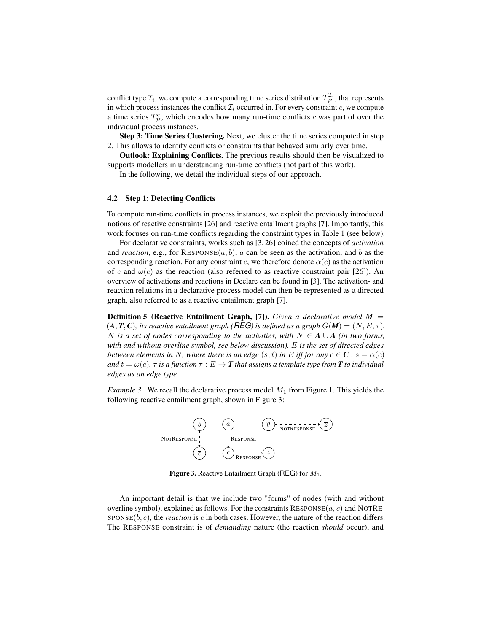conflict type  $\mathcal{I}_i$ , we compute a corresponding time series distribution  $T^{\mathcal{I}_i}_{\mathcal{P}}$ , that represents in which process instances the conflict  $\mathcal{I}_i$  occurred in. For every constraint c, we compute a time series  $T_{\mathcal{P}}^c$ , which encodes how many run-time conflicts c was part of over the individual process instances.

Step 3: Time Series Clustering. Next, we cluster the time series computed in step 2. This allows to identify conflicts or constraints that behaved similarly over time.

Outlook: Explaining Conflicts. The previous results should then be visualized to supports modellers in understanding run-time conflicts (not part of this work).

In the following, we detail the individual steps of our approach.

#### 4.2 Step 1: Detecting Conflicts

To compute run-time conflicts in process instances, we exploit the previously introduced notions of reactive constraints [\[26\]](#page-14-6) and reactive entailment graphs [\[7\]](#page-13-6). Importantly, this work focuses on run-time conflicts regarding the constraint types in Table [1](#page-3-2) (see below).

For declarative constraints, works such as [\[3,](#page-13-2) [26\]](#page-14-6) coined the concepts of *activation* and *reaction*, e.g., for  $RESPONSE(a, b)$ , a can be seen as the activation, and b as the corresponding reaction. For any constraint c, we therefore denote  $\alpha(c)$  as the activation of c and  $\omega(c)$  as the reaction (also referred to as reactive constraint pair [\[26\]](#page-14-6)). An overview of activations and reactions in Declare can be found in [\[3\]](#page-13-2). The activation- and reaction relations in a declarative process model can then be represented as a directed graph, also referred to as a reactive entailment graph [\[7\]](#page-13-6).

Definition 5 (Reactive Entailment Graph, [\[7\]](#page-13-6)). *Given a declarative model M* =  $(A, T, C)$ , its reactive entailment graph (**REG**) is defined as a graph  $G(M) = (N, E, \tau)$ . N is a set of nodes corresponding to the activities, with  $N \in A \cup \overline{A}$  (in two forms, *with and without overline symbol, see below discussion).* E *is the set of directed edges between elements in* N, where there is an edge  $(s, t)$  in E iff for any  $c \in \mathbb{C}$  :  $s = \alpha(c)$ *and*  $t = \omega(c)$ .  $\tau$  *is a function*  $\tau : E \to \mathbf{T}$  *that assigns a template type from*  $\mathbf{T}$  *to individual edges as an edge type.*

<span id="page-8-0"></span>*Example 3.* We recall the declarative process model  $M_1$  from Figure [1.](#page-2-0) This yields the following reactive entailment graph, shown in Figure [3:](#page-8-0)



**Figure 3.** Reactive Entailment Graph (REG) for  $M_1$ .

An important detail is that we include two "forms" of nodes (with and without overline symbol), explained as follows. For the constraints  $RESPONSE(a, c)$  and NOTRE- $SPONSE(b, c)$ , the *reaction* is c in both cases. However, the nature of the reaction differs. The RESPONSE constraint is of *demanding* nature (the reaction *should* occur), and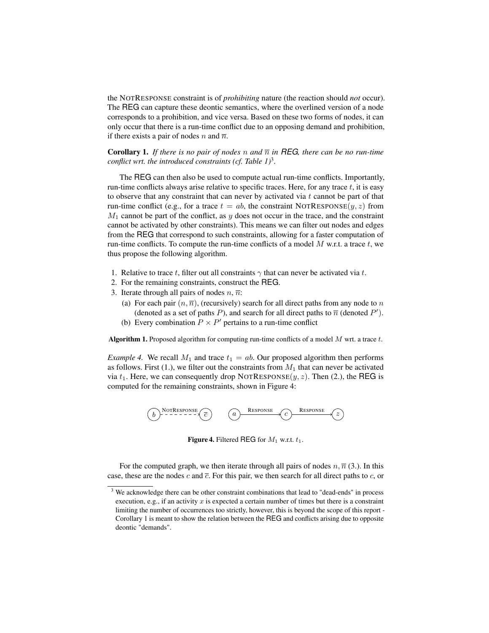the NOTRESPONSE constraint is of *prohibiting* nature (the reaction should *not* occur). The REG can capture these deontic semantics, where the overlined version of a node corresponds to a prohibition, and vice versa. Based on these two forms of nodes, it can only occur that there is a run-time conflict due to an opposing demand and prohibition, if there exists a pair of nodes n and  $\overline{n}$ .

**Corollary 1.** If there is no pair of nodes n and  $\overline{n}$  in REG, there can be no run-time *conflict wrt. the introduced constraints (cf. Table [1\)](#page-3-2)*[3](#page-9-0) *.*

The REG can then also be used to compute actual run-time conflicts. Importantly, run-time conflicts always arise relative to specific traces. Here, for any trace  $t$ , it is easy to observe that any constraint that can never by activated via  $t$  cannot be part of that run-time conflict (e.g., for a trace  $t = ab$ , the constraint NOTRESPONSE(y, z) from  $M_1$  cannot be part of the conflict, as y does not occur in the trace, and the constraint cannot be activated by other constraints). This means we can filter out nodes and edges from the REG that correspond to such constraints, allowing for a faster computation of run-time conflicts. To compute the run-time conflicts of a model  $M$  w.r.t. a trace  $t$ , we thus propose the following algorithm.

- 1. Relative to trace t, filter out all constraints  $\gamma$  that can never be activated via t.
- 2. For the remaining constraints, construct the REG.
- 3. Iterate through all pairs of nodes  $n, \overline{n}$ :
	- (a) For each pair  $(n, \overline{n})$ , (recursively) search for all direct paths from any node to n (denoted as a set of paths P), and search for all direct paths to  $\overline{n}$  (denoted P').
	- (b) Every combination  $P \times P'$  pertains to a run-time conflict

**Algorithm 1.** Proposed algorithm for computing run-time conflicts of a model  $M$  wrt. a trace  $t$ .

*Example 4.* We recall  $M_1$  and trace  $t_1 = ab$ . Our proposed algorithm then performs as follows. First (1.), we filter out the constraints from  $M_1$  that can never be activated via  $t_1$ . Here, we can consequently drop NOTRESPONSE(y, z). Then (2.), the REG is computed for the remaining constraints, shown in Figure [4:](#page-9-1)

<span id="page-9-1"></span>

Figure 4. Filtered REG for  $M_1$  w.r.t.  $t_1$ .

For the computed graph, we then iterate through all pairs of nodes  $n, \overline{n}$  (3.). In this case, these are the nodes c and  $\bar{c}$ . For this pair, we then search for all direct paths to c, or

<span id="page-9-0"></span><sup>&</sup>lt;sup>3</sup> We acknowledge there can be other constraint combinations that lead to "dead-ends" in process execution, e.g., if an activity  $x$  is expected a certain number of times but there is a constraint limiting the number of occurrences too strictly, however, this is beyond the scope of this report - Corollary 1 is meant to show the relation between the REG and conflicts arising due to opposite deontic "demands".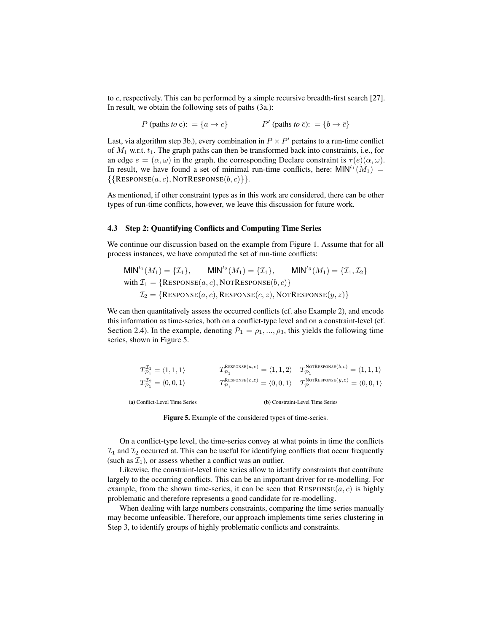to  $\bar{c}$ , respectively. This can be performed by a simple recursive breadth-first search [\[27\]](#page-14-7). In result, we obtain the following sets of paths (3a.):

$$
P
$$
 (paths to c): = { $a \rightarrow c$ }  $P'$  (paths to  $\overline{c}$ ): = { $b \rightarrow \overline{c}$ }

Last, via algorithm step 3b.), every combination in  $P \times P'$  pertains to a run-time conflict of  $M_1$  w.r.t.  $t_1$ . The graph paths can then be transformed back into constraints, i.e., for an edge  $e = (\alpha, \omega)$  in the graph, the corresponding Declare constraint is  $\tau(e)(\alpha, \omega)$ . In result, we have found a set of minimal run-time conflicts, here:  $MIN^{t_1}(M_1) =$  $\{\{\text{Response}(a, c), \text{NOT} \text{Response}(b, c)\}\}.$ 

As mentioned, if other constraint types as in this work are considered, there can be other types of run-time conflicts, however, we leave this discussion for future work.

### 4.3 Step 2: Quantifying Conflicts and Computing Time Series

We continue our discussion based on the example from Figure [1.](#page-2-0) Assume that for all process instances, we have computed the set of run-time conflicts:

 $\text{MIN}^{t_1}(M_1) = \{ \mathcal{I}_1 \}, \qquad \text{MIN}^{t_2}(M_1) = \{ \mathcal{I}_1 \}, \qquad \text{MIN}^{t_3}(M_1) = \{ \mathcal{I}_1, \mathcal{I}_2 \}$ with  $\mathcal{I}_1 = \{$ RESPONSE $(a, c)$ , NOTRESPONSE $(b, c)$ }  $\mathcal{I}_2 = \{ \text{RESPONSE}(a, c), \text{RESPONSE}(c, z), \text{NOTRESPONSE}(y, z) \}$ 

We can then quantitatively assess the occurred conflicts (cf. also Example [2\)](#page-5-0), and encode this information as time-series, both on a conflict-type level and on a constraint-level (cf. Section [2.4\)](#page-6-1). In the example, denoting  $P_1 = \rho_1, ..., \rho_3$ , this yields the following time series, shown in Figure [5.](#page-10-0)

<span id="page-10-0"></span>
$$
T_{\mathcal{P}_1}^{\mathcal{I}_1} = \langle 1, 1, 1 \rangle
$$
  
\n
$$
T_{\mathcal{P}_1}^{\mathcal{I}_2} = \langle 0, 0, 1 \rangle
$$
  
\n
$$
T_{\mathcal{P}_1}^{\text{RESPONSE}(a, c)} = \langle 1, 1, 2 \rangle
$$
  
\n
$$
T_{\mathcal{P}_1}^{\text{NOTRESPOSE}(b, c)} = \langle 1, 1, 1 \rangle
$$
  
\n
$$
T_{\mathcal{P}_1}^{\text{NOTRESPOSE}(y, z)} = \langle 0, 0, 1 \rangle
$$
  
\n
$$
T_{\mathcal{P}_1}^{\text{NOTRESPOSE}(y, z)} = \langle 0, 0, 1 \rangle
$$

(a) Conflict-Level Time Series

(b) Constraint-Level Time Series

Figure 5. Example of the considered types of time-series.

On a conflict-type level, the time-series convey at what points in time the conflicts  $\mathcal{I}_1$  and  $\mathcal{I}_2$  occurred at. This can be useful for identifying conflicts that occur frequently (such as  $\mathcal{I}_1$ ), or assess whether a conflict was an outlier.

Likewise, the constraint-level time series allow to identify constraints that contribute largely to the occurring conflicts. This can be an important driver for re-modelling. For example, from the shown time-series, it can be seen that  $RESPONSE(a, c)$  is highly problematic and therefore represents a good candidate for re-modelling.

When dealing with large numbers constraints, comparing the time series manually may become unfeasible. Therefore, our approach implements time series clustering in Step 3, to identify groups of highly problematic conflicts and constraints.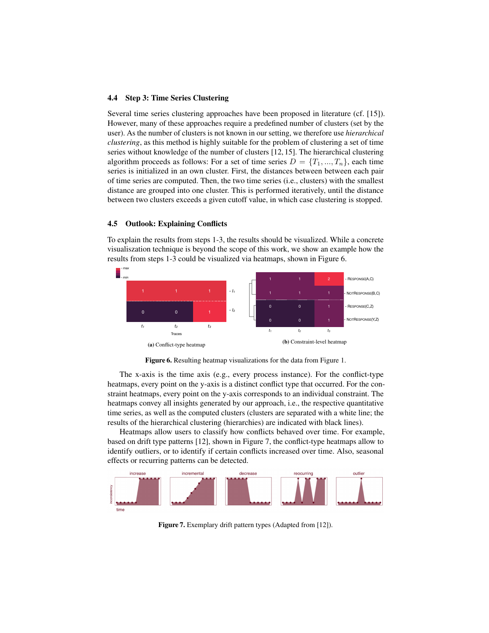#### 4.4 Step 3: Time Series Clustering

Several time series clustering approaches have been proposed in literature (cf. [\[15\]](#page-13-13)). However, many of these approaches require a predefined number of clusters (set by the user). As the number of clusters is not known in our setting, we therefore use *hierarchical clustering*, as this method is highly suitable for the problem of clustering a set of time series without knowledge of the number of clusters [\[12,](#page-13-11) [15\]](#page-13-13). The hierarchical clustering algorithm proceeds as follows: For a set of time series  $D = \{T_1, ..., T_n\}$ , each time series is initialized in an own cluster. First, the distances between between each pair of time series are computed. Then, the two time series (i.e., clusters) with the smallest distance are grouped into one cluster. This is performed iteratively, until the distance between two clusters exceeds a given cutoff value, in which case clustering is stopped.

## 4.5 Outlook: Explaining Conflicts

To explain the results from steps 1-3, the results should be visualized. While a concrete visualiszation technique is beyond the scope of this work, we show an example how the results from steps 1-3 could be visualized via heatmaps, shown in Figure [6.](#page-11-0)

<span id="page-11-0"></span>

Figure 6. Resulting heatmap visualizations for the data from Figure [1.](#page-2-0)

The x-axis is the time axis (e.g., every process instance). For the conflict-type heatmaps, every point on the y-axis is a distinct conflict type that occurred. For the constraint heatmaps, every point on the y-axis corresponds to an individual constraint. The heatmaps convey all insights generated by our approach, i.e., the respective quantitative time series, as well as the computed clusters (clusters are separated with a white line; the results of the hierarchical clustering (hierarchies) are indicated with black lines).

Heatmaps allow users to classify how conflicts behaved over time. For example, based on drift type patterns [\[12\]](#page-13-11), shown in Figure [7,](#page-11-1) the conflict-type heatmaps allow to identify outliers, or to identify if certain conflicts increased over time. Also, seasonal effects or recurring patterns can be detected.

<span id="page-11-1"></span>

Figure 7. Exemplary drift pattern types (Adapted from [\[12\]](#page-13-11)).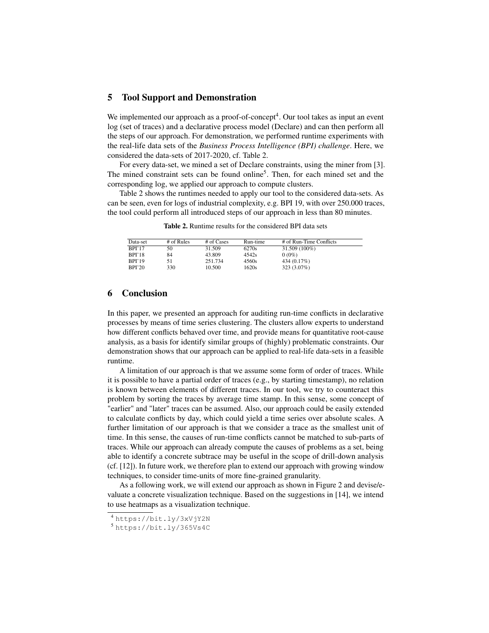## <span id="page-12-0"></span>5 Tool Support and Demonstration

We implemented our approach as a proof-of-concept<sup>[4](#page-12-2)</sup>. Our tool takes as input an event log (set of traces) and a declarative process model (Declare) and can then perform all the steps of our approach. For demonstration, we performed runtime experiments with the real-life data sets of the *Business Process Intelligence (BPI) challenge*. Here, we considered the data-sets of 2017-2020, cf. Table [2.](#page-12-3)

For every data-set, we mined a set of Declare constraints, using the miner from [\[3\]](#page-13-2). The mined constraint sets can be found online<sup>[5](#page-12-4)</sup>. Then, for each mined set and the corresponding log, we applied our approach to compute clusters.

<span id="page-12-3"></span>Table [2](#page-12-3) shows the runtimes needed to apply our tool to the considered data-sets. As can be seen, even for logs of industrial complexity, e.g. BPI 19, with over 250.000 traces, the tool could perform all introduced steps of our approach in less than 80 minutes.

Table 2. Runtime results for the considered BPI data sets

| Data-set      | # of Rules | # of Cases | Run-time | # of Run-Time Conflicts |
|---------------|------------|------------|----------|-------------------------|
| <b>BPI'17</b> | 50.        | 31.509     | 6270s    | 31.509 (100%)           |
| <b>BPI'18</b> | 84         | 43.809     | 4542s    | $0(0\%)$                |
| BPI'19        | 51         | 251.734    | 4560s    | 434 (0.17%)             |
| BPI'20        | 330        | 10.500     | 1620s    | 323 (3.07%)             |

# <span id="page-12-1"></span>6 Conclusion

In this paper, we presented an approach for auditing run-time conflicts in declarative processes by means of time series clustering. The clusters allow experts to understand how different conflicts behaved over time, and provide means for quantitative root-cause analysis, as a basis for identify similar groups of (highly) problematic constraints. Our demonstration shows that our approach can be applied to real-life data-sets in a feasible runtime.

A limitation of our approach is that we assume some form of order of traces. While it is possible to have a partial order of traces (e.g., by starting timestamp), no relation is known between elements of different traces. In our tool, we try to counteract this problem by sorting the traces by average time stamp. In this sense, some concept of "earlier" and "later" traces can be assumed. Also, our approach could be easily extended to calculate conflicts by day, which could yield a time series over absolute scales. A further limitation of our approach is that we consider a trace as the smallest unit of time. In this sense, the causes of run-time conflicts cannot be matched to sub-parts of traces. While our approach can already compute the causes of problems as a set, being able to identify a concrete subtrace may be useful in the scope of drill-down analysis (cf. [\[12\]](#page-13-11)). In future work, we therefore plan to extend our approach with growing window techniques, to consider time-units of more fine-grained granularity.

As a following work, we will extend our approach as shown in Figure [2](#page-7-1) and devise/evaluate a concrete visualization technique. Based on the suggestions in [\[14\]](#page-13-12), we intend to use heatmaps as a visualization technique.

<span id="page-12-2"></span><sup>4</sup> <https://bit.ly/3xVjY2N>

<span id="page-12-4"></span><sup>5</sup> <https://bit.ly/365Vs4C>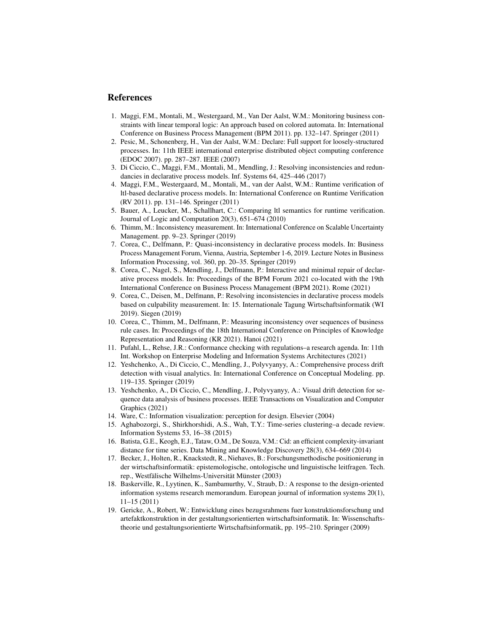## References

- <span id="page-13-0"></span>1. Maggi, F.M., Montali, M., Westergaard, M., Van Der Aalst, W.M.: Monitoring business constraints with linear temporal logic: An approach based on colored automata. In: International Conference on Business Process Management (BPM 2011). pp. 132–147. Springer (2011)
- <span id="page-13-1"></span>2. Pesic, M., Schonenberg, H., Van der Aalst, W.M.: Declare: Full support for loosely-structured processes. In: 11th IEEE international enterprise distributed object computing conference (EDOC 2007). pp. 287–287. IEEE (2007)
- <span id="page-13-2"></span>3. Di Ciccio, C., Maggi, F.M., Montali, M., Mendling, J.: Resolving inconsistencies and redundancies in declarative process models. Inf. Systems 64, 425–446 (2017)
- <span id="page-13-3"></span>4. Maggi, F.M., Westergaard, M., Montali, M., van der Aalst, W.M.: Runtime verification of ltl-based declarative process models. In: International Conference on Runtime Verification (RV 2011). pp. 131–146. Springer (2011)
- <span id="page-13-4"></span>5. Bauer, A., Leucker, M., Schallhart, C.: Comparing ltl semantics for runtime verification. Journal of Logic and Computation 20(3), 651–674 (2010)
- <span id="page-13-5"></span>6. Thimm, M.: Inconsistency measurement. In: International Conference on Scalable Uncertainty Management. pp. 9–23. Springer (2019)
- <span id="page-13-6"></span>7. Corea, C., Delfmann, P.: Quasi-inconsistency in declarative process models. In: Business Process Management Forum, Vienna, Austria, September 1-6, 2019. Lecture Notes in Business Information Processing, vol. 360, pp. 20–35. Springer (2019)
- <span id="page-13-7"></span>8. Corea, C., Nagel, S., Mendling, J., Delfmann, P.: Interactive and minimal repair of declarative process models. In: Proceedings of the BPM Forum 2021 co-located with the 19th International Conference on Business Process Management (BPM 2021). Rome (2021)
- <span id="page-13-8"></span>9. Corea, C., Deisen, M., Delfmann, P.: Resolving inconsistencies in declarative process models based on culpability measurement. In: 15. Internationale Tagung Wirtschaftsinformatik (WI 2019). Siegen (2019)
- <span id="page-13-9"></span>10. Corea, C., Thimm, M., Delfmann, P.: Measuring inconsistency over sequences of business rule cases. In: Proceedings of the 18th International Conference on Principles of Knowledge Representation and Reasoning (KR 2021). Hanoi (2021)
- <span id="page-13-10"></span>11. Pufahl, L., Rehse, J.R.: Conformance checking with regulations–a research agenda. In: 11th Int. Workshop on Enterprise Modeling and Information Systems Architectures (2021)
- <span id="page-13-11"></span>12. Yeshchenko, A., Di Ciccio, C., Mendling, J., Polyvyanyy, A.: Comprehensive process drift detection with visual analytics. In: International Conference on Conceptual Modeling. pp. 119–135. Springer (2019)
- 13. Yeshchenko, A., Di Ciccio, C., Mendling, J., Polyvyanyy, A.: Visual drift detection for sequence data analysis of business processes. IEEE Transactions on Visualization and Computer Graphics (2021)
- <span id="page-13-12"></span>14. Ware, C.: Information visualization: perception for design. Elsevier (2004)
- <span id="page-13-13"></span>15. Aghabozorgi, S., Shirkhorshidi, A.S., Wah, T.Y.: Time-series clustering–a decade review. Information Systems 53, 16–38 (2015)
- <span id="page-13-14"></span>16. Batista, G.E., Keogh, E.J., Tataw, O.M., De Souza, V.M.: Cid: an efficient complexity-invariant distance for time series. Data Mining and Knowledge Discovery 28(3), 634–669 (2014)
- <span id="page-13-15"></span>17. Becker, J., Holten, R., Knackstedt, R., Niehaves, B.: Forschungsmethodische positionierung in der wirtschaftsinformatik: epistemologische, ontologische und linguistische leitfragen. Tech. rep., Westfälische Wilhelms-Universität Münster (2003)
- <span id="page-13-16"></span>18. Baskerville, R., Lyytinen, K., Sambamurthy, V., Straub, D.: A response to the design-oriented information systems research memorandum. European journal of information systems 20(1), 11–15 (2011)
- 19. Gericke, A., Robert, W.: Entwicklung eines bezugsrahmens fuer konstruktionsforschung und artefaktkonstruktion in der gestaltungsorientierten wirtschaftsinformatik. In: Wissenschaftstheorie und gestaltungsorientierte Wirtschaftsinformatik, pp. 195–210. Springer (2009)